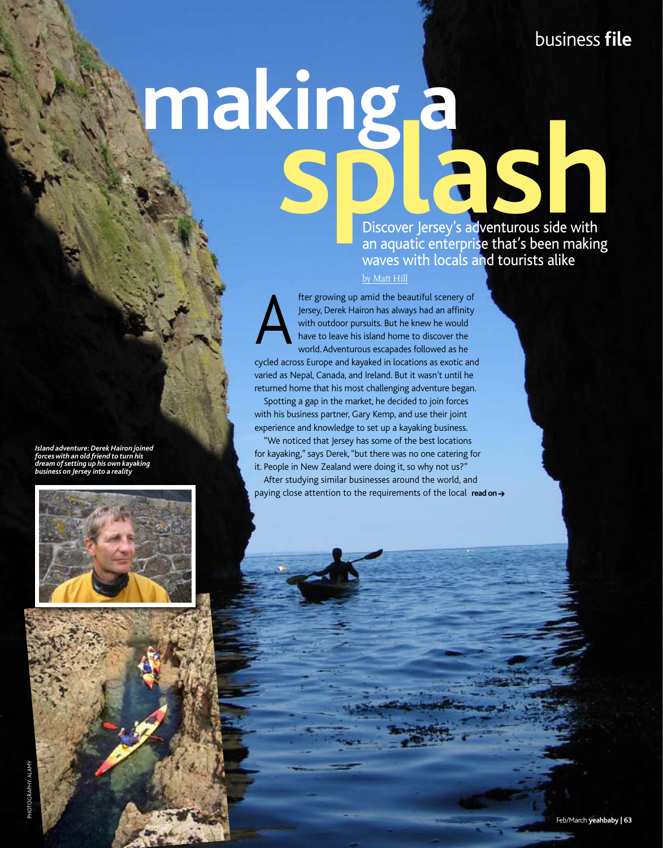## **making a** splan and the splan of the splan of the splan of the splan of the Splan of the Discover Jersey's adventurous side with

an aquatic enterprise that's been making waves with locals and tourists alike by Matt Hill

fter growing up amid the beautiful scenery of Jersey, Derek Hairon has always had an affinity with outdoor pursuits. But he knew he would have to leave his island home to discover the world. Adventurous escapades followed as he cycled across Europe and kayaked in locations as exotic and varied as Nepal, Canada, and Ireland. But it wasn't until he returned home that his most challenging adventure began. Spotting a gap in the market, he decided to join forces with his business partner, Gary Kemp, and use their joint experience and knowledge to set up a kayaking business. "We noticed that Jersey has some of the best locations for kayaking," says Derek, "but there was no one catering for it. People in New Zealand were doing it, so why not us?" A

After studying similar businesses around the world, and paying close attention to the requirements of the local read on→

*Island adventure: Derek Hairon joined forces with an old friend to turn his dream of setting up his own kayaking business on Jersey into a reality*